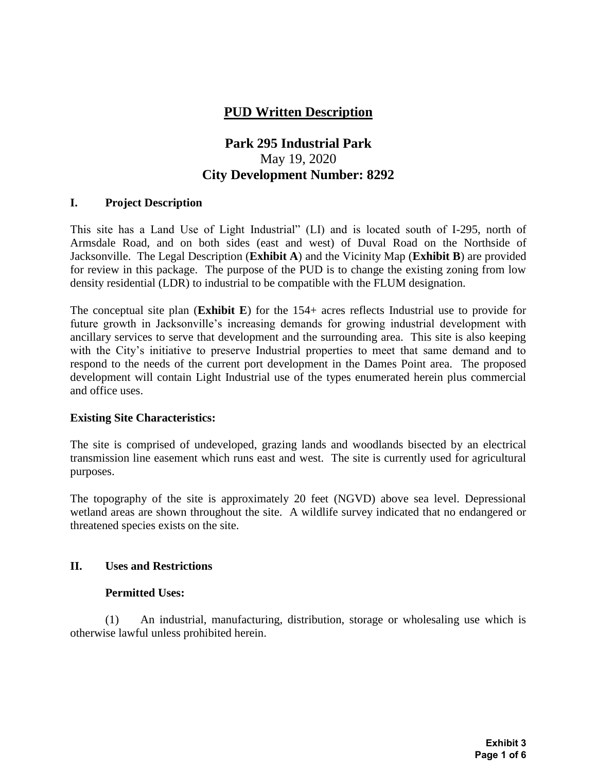# **PUD Written Description**

# **Park 295 Industrial Park** May 19, 2020 **City Development Number: 8292**

### **I. Project Description**

This site has a Land Use of Light Industrial" (LI) and is located south of I-295, north of Armsdale Road, and on both sides (east and west) of Duval Road on the Northside of Jacksonville. The Legal Description (**Exhibit A**) and the Vicinity Map (**Exhibit B**) are provided for review in this package. The purpose of the PUD is to change the existing zoning from low density residential (LDR) to industrial to be compatible with the FLUM designation.

The conceptual site plan (**Exhibit E**) for the 154+ acres reflects Industrial use to provide for future growth in Jacksonville's increasing demands for growing industrial development with ancillary services to serve that development and the surrounding area. This site is also keeping with the City's initiative to preserve Industrial properties to meet that same demand and to respond to the needs of the current port development in the Dames Point area. The proposed development will contain Light Industrial use of the types enumerated herein plus commercial and office uses.

### **Existing Site Characteristics:**

The site is comprised of undeveloped, grazing lands and woodlands bisected by an electrical transmission line easement which runs east and west. The site is currently used for agricultural purposes.

The topography of the site is approximately 20 feet (NGVD) above sea level. Depressional wetland areas are shown throughout the site. A wildlife survey indicated that no endangered or threatened species exists on the site.

# **II. Uses and Restrictions**

### **Permitted Uses:**

(1) An industrial, manufacturing, distribution, storage or wholesaling use which is otherwise lawful unless prohibited herein.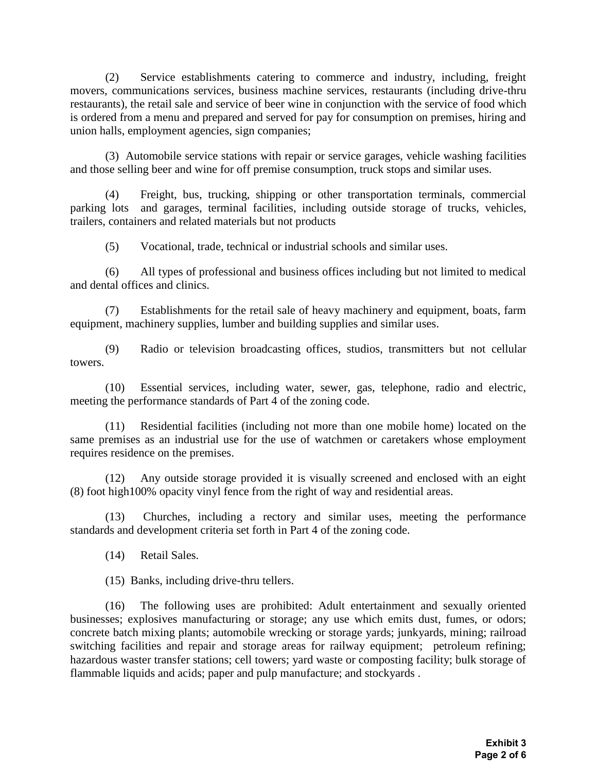(2) Service establishments catering to commerce and industry, including, freight movers, communications services, business machine services, restaurants (including drive-thru restaurants), the retail sale and service of beer wine in conjunction with the service of food which is ordered from a menu and prepared and served for pay for consumption on premises, hiring and union halls, employment agencies, sign companies;

(3) Automobile service stations with repair or service garages, vehicle washing facilities and those selling beer and wine for off premise consumption, truck stops and similar uses.

(4) Freight, bus, trucking, shipping or other transportation terminals, commercial parking lots and garages, terminal facilities, including outside storage of trucks, vehicles, trailers, containers and related materials but not products

(5) Vocational, trade, technical or industrial schools and similar uses.

(6) All types of professional and business offices including but not limited to medical and dental offices and clinics.

(7) Establishments for the retail sale of heavy machinery and equipment, boats, farm equipment, machinery supplies, lumber and building supplies and similar uses.

(9) Radio or television broadcasting offices, studios, transmitters but not cellular towers.

(10) Essential services, including water, sewer, gas, telephone, radio and electric, meeting the performance standards of Part 4 of the zoning code.

(11) Residential facilities (including not more than one mobile home) located on the same premises as an industrial use for the use of watchmen or caretakers whose employment requires residence on the premises.

(12) Any outside storage provided it is visually screened and enclosed with an eight (8) foot high100% opacity vinyl fence from the right of way and residential areas.

(13) Churches, including a rectory and similar uses, meeting the performance standards and development criteria set forth in Part 4 of the zoning code.

(14) Retail Sales.

(15) Banks, including drive-thru tellers.

(16) The following uses are prohibited: Adult entertainment and sexually oriented businesses; explosives manufacturing or storage; any use which emits dust, fumes, or odors; concrete batch mixing plants; automobile wrecking or storage yards; junkyards, mining; railroad switching facilities and repair and storage areas for railway equipment; petroleum refining; hazardous waster transfer stations; cell towers; yard waste or composting facility; bulk storage of flammable liquids and acids; paper and pulp manufacture; and stockyards .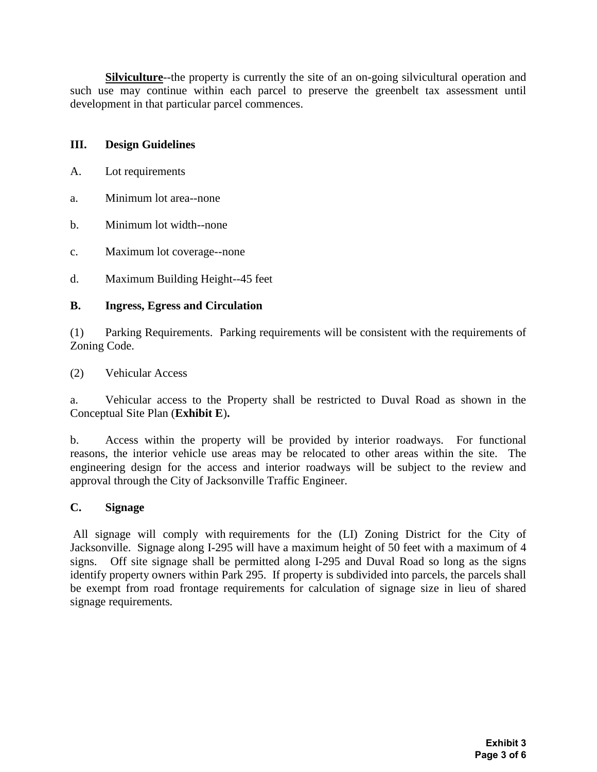**Silviculture**--the property is currently the site of an on-going silvicultural operation and such use may continue within each parcel to preserve the greenbelt tax assessment until development in that particular parcel commences.

### **III. Design Guidelines**

- A. Lot requirements
- a. Minimum lot area--none
- b. Minimum lot width--none
- c. Maximum lot coverage--none
- d. Maximum Building Height--45 feet

### **B. Ingress, Egress and Circulation**

(1) Parking Requirements. Parking requirements will be consistent with the requirements of Zoning Code.

(2) Vehicular Access

a. Vehicular access to the Property shall be restricted to Duval Road as shown in the Conceptual Site Plan (**Exhibit E**)**.**

b. Access within the property will be provided by interior roadways. For functional reasons, the interior vehicle use areas may be relocated to other areas within the site. The engineering design for the access and interior roadways will be subject to the review and approval through the City of Jacksonville Traffic Engineer.

### **C. Signage**

All signage will comply with requirements for the (LI) Zoning District for the City of Jacksonville. Signage along I-295 will have a maximum height of 50 feet with a maximum of 4 signs. Off site signage shall be permitted along I-295 and Duval Road so long as the signs identify property owners within Park 295. If property is subdivided into parcels, the parcels shall be exempt from road frontage requirements for calculation of signage size in lieu of shared signage requirements*.*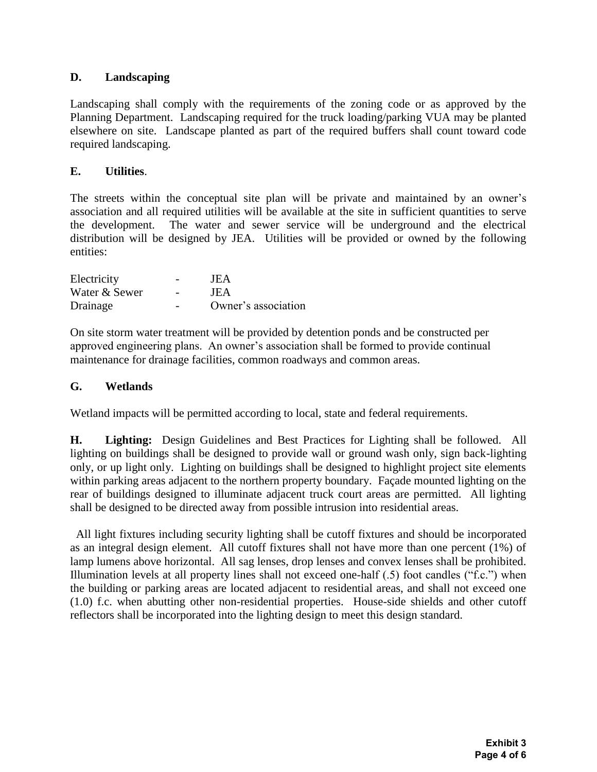# **D. Landscaping**

Landscaping shall comply with the requirements of the zoning code or as approved by the Planning Department. Landscaping required for the truck loading/parking VUA may be planted elsewhere on site. Landscape planted as part of the required buffers shall count toward code required landscaping.

# **E. Utilities**.

The streets within the conceptual site plan will be private and maintained by an owner's association and all required utilities will be available at the site in sufficient quantities to serve the development. The water and sewer service will be underground and the electrical distribution will be designed by JEA. Utilities will be provided or owned by the following entities:

| Electricity   | JEA                 |
|---------------|---------------------|
| Water & Sewer | JEA                 |
| Drainage      | Owner's association |

On site storm water treatment will be provided by detention ponds and be constructed per approved engineering plans. An owner's association shall be formed to provide continual maintenance for drainage facilities, common roadways and common areas.

# **G. Wetlands**

Wetland impacts will be permitted according to local, state and federal requirements.

**H. Lighting:** Design Guidelines and Best Practices for Lighting shall be followed. All lighting on buildings shall be designed to provide wall or ground wash only, sign back-lighting only, or up light only. Lighting on buildings shall be designed to highlight project site elements within parking areas adjacent to the northern property boundary. Façade mounted lighting on the rear of buildings designed to illuminate adjacent truck court areas are permitted. All lighting shall be designed to be directed away from possible intrusion into residential areas.

 All light fixtures including security lighting shall be cutoff fixtures and should be incorporated as an integral design element. All cutoff fixtures shall not have more than one percent (1%) of lamp lumens above horizontal. All sag lenses, drop lenses and convex lenses shall be prohibited. Illumination levels at all property lines shall not exceed one-half (.5) foot candles ("f.c.") when the building or parking areas are located adjacent to residential areas, and shall not exceed one (1.0) f.c. when abutting other non-residential properties. House-side shields and other cutoff reflectors shall be incorporated into the lighting design to meet this design standard.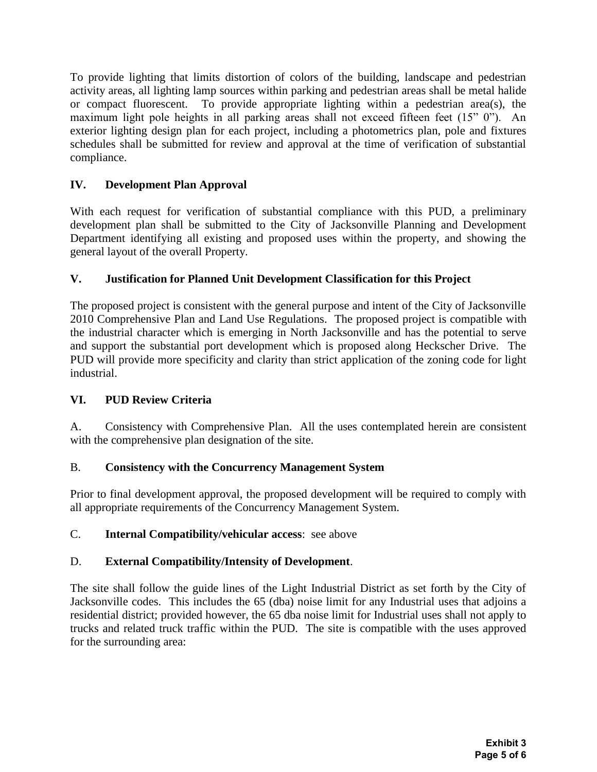To provide lighting that limits distortion of colors of the building, landscape and pedestrian activity areas, all lighting lamp sources within parking and pedestrian areas shall be metal halide or compact fluorescent. To provide appropriate lighting within a pedestrian area(s), the maximum light pole heights in all parking areas shall not exceed fifteen feet (15" 0"). An exterior lighting design plan for each project, including a photometrics plan, pole and fixtures schedules shall be submitted for review and approval at the time of verification of substantial compliance.

# **IV. Development Plan Approval**

With each request for verification of substantial compliance with this PUD, a preliminary development plan shall be submitted to the City of Jacksonville Planning and Development Department identifying all existing and proposed uses within the property, and showing the general layout of the overall Property.

# **V. Justification for Planned Unit Development Classification for this Project**

The proposed project is consistent with the general purpose and intent of the City of Jacksonville 2010 Comprehensive Plan and Land Use Regulations. The proposed project is compatible with the industrial character which is emerging in North Jacksonville and has the potential to serve and support the substantial port development which is proposed along Heckscher Drive. The PUD will provide more specificity and clarity than strict application of the zoning code for light industrial.

# **VI. PUD Review Criteria**

A. Consistency with Comprehensive Plan. All the uses contemplated herein are consistent with the comprehensive plan designation of the site.

# B. **Consistency with the Concurrency Management System**

Prior to final development approval, the proposed development will be required to comply with all appropriate requirements of the Concurrency Management System.

# C. **Internal Compatibility/vehicular access**: see above

# D. **External Compatibility/Intensity of Development**.

The site shall follow the guide lines of the Light Industrial District as set forth by the City of Jacksonville codes. This includes the 65 (dba) noise limit for any Industrial uses that adjoins a residential district; provided however, the 65 dba noise limit for Industrial uses shall not apply to trucks and related truck traffic within the PUD. The site is compatible with the uses approved for the surrounding area: